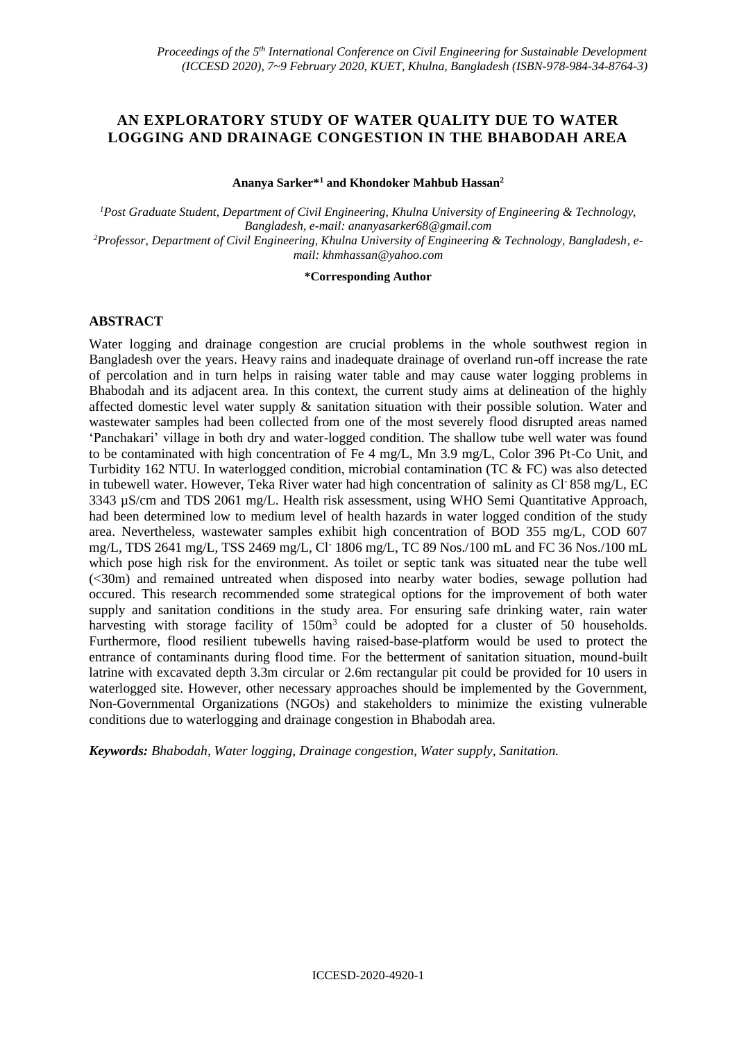# **AN EXPLORATORY STUDY OF WATER QUALITY DUE TO WATER LOGGING AND DRAINAGE CONGESTION IN THE BHABODAH AREA**

**Ananya Sarker\*<sup>1</sup> and Khondoker Mahbub Hassan<sup>2</sup>**

*<sup>1</sup>Post Graduate Student, Department of Civil Engineering, Khulna University of Engineering & Technology, Bangladesh, e-mail: ananyasarker68@gmail.com 2Professor, Department of Civil Engineering, Khulna University of Engineering & Technology, Bangladesh, email: [khmhassan@yahoo.com](mailto:khmhassan@yahoo.com)*

#### **\*Corresponding Author**

## **ABSTRACT**

Water logging and drainage congestion are crucial problems in the whole southwest region in Bangladesh over the years. Heavy rains and inadequate drainage of overland run-off increase the rate of percolation and in turn helps in raising water table and may cause water logging problems in Bhabodah and its adjacent area. In this context, the current study aims at delineation of the highly affected domestic level water supply & sanitation situation with their possible solution. Water and wastewater samples had been collected from one of the most severely flood disrupted areas named 'Panchakari' village in both dry and water-logged condition. The shallow tube well water was found to be contaminated with high concentration of Fe 4 mg/L, Mn 3.9 mg/L, Color 396 Pt-Co Unit, and Turbidity 162 NTU. In waterlogged condition, microbial contamination (TC & FC) was also detected in tubewell water. However, Teka River water had high concentration of salinity as Cl<sup>-</sup> 858 mg/L, EC 3343 µS/cm and TDS 2061 mg/L. Health risk assessment, using WHO Semi Quantitative Approach, had been determined low to medium level of health hazards in water logged condition of the study area. Nevertheless, wastewater samples exhibit high concentration of BOD 355 mg/L, COD 607 mg/L, TDS 2641 mg/L, TSS 2469 mg/L, Cl- 1806 mg/L, TC 89 Nos./100 mL and FC 36 Nos./100 mL which pose high risk for the environment. As toilet or septic tank was situated near the tube well (<30m) and remained untreated when disposed into nearby water bodies, sewage pollution had occured. This research recommended some strategical options for the improvement of both water supply and sanitation conditions in the study area. For ensuring safe drinking water, rain water harvesting with storage facility of 150m<sup>3</sup> could be adopted for a cluster of 50 households. Furthermore, flood resilient tubewells having raised-base-platform would be used to protect the entrance of contaminants during flood time. For the betterment of sanitation situation, mound-built latrine with excavated depth 3.3m circular or 2.6m rectangular pit could be provided for 10 users in waterlogged site. However, other necessary approaches should be implemented by the Government, Non-Governmental Organizations (NGOs) and stakeholders to minimize the existing vulnerable conditions due to waterlogging and drainage congestion in Bhabodah area.

*Keywords: Bhabodah, Water logging, Drainage congestion, Water supply, Sanitation.*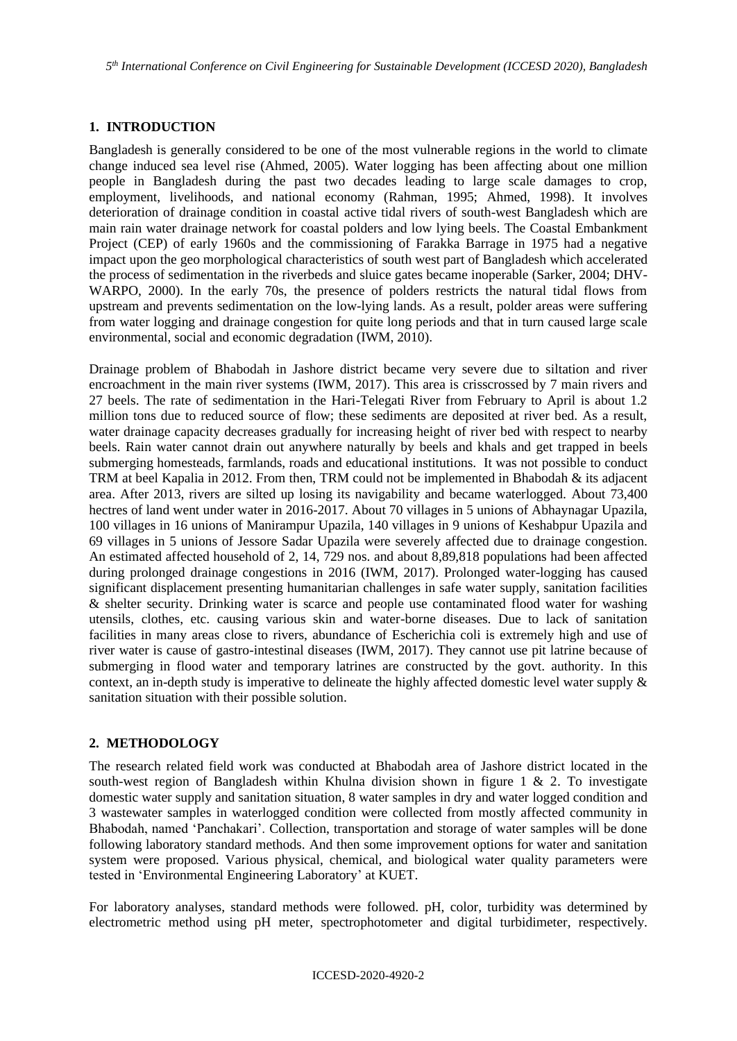*5 th International Conference on Civil Engineering for Sustainable Development (ICCESD 2020), Bangladesh*

## **1. INTRODUCTION**

Bangladesh is generally considered to be one of the most vulnerable regions in the world to climate change induced sea level rise (Ahmed, 2005). Water logging has been affecting about one million people in Bangladesh during the past two decades leading to large scale damages to crop, employment, livelihoods, and national economy (Rahman, 1995; Ahmed, 1998). It involves deterioration of drainage condition in coastal active tidal rivers of south-west Bangladesh which are main rain water drainage network for coastal polders and low lying beels. The Coastal Embankment Project (CEP) of early 1960s and the commissioning of Farakka Barrage in 1975 had a negative impact upon the geo morphological characteristics of south west part of Bangladesh which accelerated the process of sedimentation in the riverbeds and sluice gates became inoperable (Sarker, 2004; DHV-WARPO, 2000). In the early 70s, the presence of polders restricts the natural tidal flows from upstream and prevents sedimentation on the low-lying lands. As a result, polder areas were suffering from water logging and drainage congestion for quite long periods and that in turn caused large scale environmental, social and economic degradation (IWM, 2010).

Drainage problem of Bhabodah in Jashore district became very severe due to siltation and river encroachment in the main river systems (IWM, 2017). This area is crisscrossed by 7 main rivers and 27 beels. The rate of sedimentation in the Hari-Telegati River from February to April is about 1.2 million tons due to reduced source of flow; these sediments are deposited at river bed. As a result, water drainage capacity decreases gradually for increasing height of river bed with respect to nearby beels. Rain water cannot drain out anywhere naturally by beels and khals and get trapped in beels submerging homesteads, farmlands, roads and educational institutions. It was not possible to conduct TRM at beel Kapalia in 2012. From then, TRM could not be implemented in Bhabodah & its adjacent area. After 2013, rivers are silted up losing its navigability and became waterlogged. About 73,400 hectres of land went under water in 2016-2017. About 70 villages in 5 unions of Abhaynagar Upazila, 100 villages in 16 unions of Manirampur Upazila, 140 villages in 9 unions of Keshabpur Upazila and 69 villages in 5 unions of Jessore Sadar Upazila were severely affected due to drainage congestion. An estimated affected household of 2, 14, 729 nos. and about 8,89,818 populations had been affected during prolonged drainage congestions in 2016 (IWM, 2017). Prolonged water-logging has caused significant displacement presenting humanitarian challenges in safe water supply, sanitation facilities & shelter security. Drinking water is scarce and people use contaminated flood water for washing utensils, clothes, etc. causing various skin and water-borne diseases. Due to lack of sanitation facilities in many areas close to rivers, abundance of Escherichia coli is extremely high and use of river water is cause of gastro-intestinal diseases (IWM, 2017). They cannot use pit latrine because of submerging in flood water and temporary latrines are constructed by the govt. authority. In this context, an in-depth study is imperative to delineate the highly affected domestic level water supply & sanitation situation with their possible solution.

## **2. METHODOLOGY**

The research related field work was conducted at Bhabodah area of Jashore district located in the south-west region of Bangladesh within Khulna division shown in figure 1 & 2. To investigate domestic water supply and sanitation situation, 8 water samples in dry and water logged condition and 3 wastewater samples in waterlogged condition were collected from mostly affected community in Bhabodah, named 'Panchakari'. Collection, transportation and storage of water samples will be done following laboratory standard methods. And then some improvement options for water and sanitation system were proposed. Various physical, chemical, and biological water quality parameters were tested in 'Environmental Engineering Laboratory' at KUET.

For laboratory analyses, standard methods were followed. pH, color, turbidity was determined by electrometric method using pH meter, spectrophotometer and digital turbidimeter, respectively.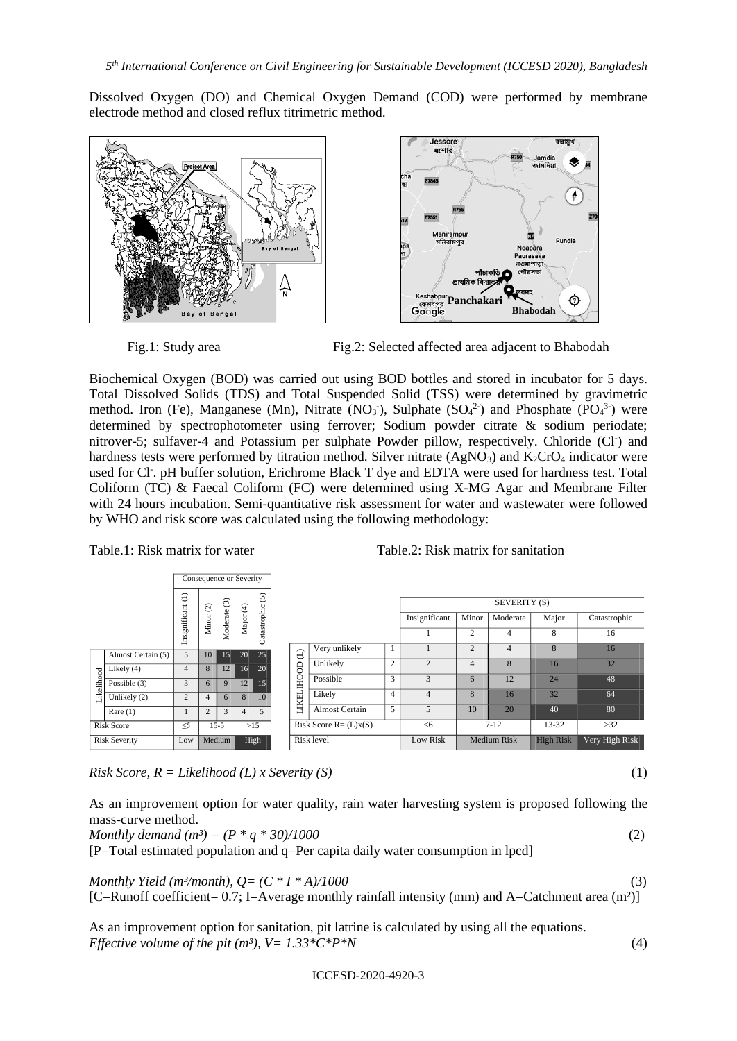Dissolved Oxygen (DO) and Chemical Oxygen Demand (COD) were performed by membrane electrode method and closed reflux titrimetric method.





Fig.1: Study area Fig.2: Selected affected area adjacent to Bhabodah

Biochemical Oxygen (BOD) was carried out using BOD bottles and stored in incubator for 5 days. Total Dissolved Solids (TDS) and Total Suspended Solid (TSS) were determined by gravimetric method. Iron (Fe), Manganese (Mn), Nitrate (NO<sub>3</sub>), Sulphate (SO<sub>4</sub><sup>2</sup>) and Phosphate (PO<sub>4</sub><sup>3</sup>) were determined by spectrophotometer using ferrover; Sodium powder citrate & sodium periodate; nitrover-5; sulfaver-4 and Potassium per sulphate Powder pillow, respectively. Chloride (Cl<sup>-</sup>) and hardness tests were performed by titration method. Silver nitrate  $(AgNO<sub>3</sub>)$  and  $K<sub>2</sub>CrO<sub>4</sub>$  indicator were used for Cl<sup>-</sup>. pH buffer solution, Erichrome Black T dye and EDTA were used for hardness test. Total Coliform (TC) & Faecal Coliform (FC) were determined using X-MG Agar and Membrane Filter with 24 hours incubation. Semi-quantitative risk assessment for water and wastewater were followed by WHO and risk score was calculated using the following methodology:

|                      |                    | Consequence or Severity |                    |                         |                |              |  |                          |                       |                |                |                |                    |                  |                |
|----------------------|--------------------|-------------------------|--------------------|-------------------------|----------------|--------------|--|--------------------------|-----------------------|----------------|----------------|----------------|--------------------|------------------|----------------|
|                      |                    | $\ominus$               | $\widehat{\alpha}$ | $\widehat{\mathcal{E}}$ | $\bigoplus$    | $\odot$      |  |                          |                       |                | SEVERITY (S)   |                |                    |                  |                |
|                      |                    |                         | ت<br>Minor         | ate                     | Major          |              |  |                          |                       |                | Insignificant  | Minor          | Moderate           | Major            | Catastrophic   |
|                      |                    | Insignificant           |                    | Moder:                  |                | Catastrophic |  |                          |                       |                |                | $\overline{2}$ | 4                  | 8                | 16             |
|                      | Almost Certain (5) | 5                       | 10                 | 15                      | 20             | 25           |  | $\widehat{\mathrm{d}}$   | Very unlikely         |                |                | $\overline{2}$ | 4                  | 8                | 16             |
|                      | Likely (4)         | 4                       | 8                  | 12                      | 16             | 20           |  | EOOH                     | Unlikely              | $\overline{c}$ | $\overline{c}$ | 4              | 8                  | 16               | 32             |
|                      | Possible $(3)$     | 3                       | 6                  | $\mathbf Q$             | 12             | 15           |  |                          | Possible              | 3              | 3              | 6              | 12                 | 24               | 48             |
| Likelihood           | Unlikely (2)       | $\overline{2}$          | $\overline{4}$     | 6                       | 8              | 10           |  |                          | Likely                | 4              | 4              | 8              | 16                 | 32               | 64             |
|                      | Rare $(1)$         |                         | $\overline{2}$     | 3                       | $\overline{4}$ | 5            |  | <b>LIKEL</b>             | <b>Almost Certain</b> | 5              | 5              | 10             | 20                 | 40               | 80             |
| <b>Risk Score</b>    |                    | $\leq 5$                |                    | $15 - 5$                |                | $>15$        |  | Risk Score $R = (L)x(S)$ |                       |                | <6             |                | $7 - 12$           | $13 - 32$        | $>32$          |
| <b>Risk Severity</b> |                    | Low                     |                    | Medium                  |                | High         |  | Risk level               |                       |                | Low Risk       |                | <b>Medium Risk</b> | <b>High Risk</b> | Very High Risk |

Table.1: Risk matrix for water Table.2: Risk matrix for sanitation

*Risk Score, R = Likelihood (L) x Severity (S)* (1)

| As an improvement option for water quality, rain water harvesting system is proposed following the |  |  |  |  |  |  |
|----------------------------------------------------------------------------------------------------|--|--|--|--|--|--|
| mass-curve method.                                                                                 |  |  |  |  |  |  |

[P=Total estimated population and q=Per capita daily water consumption in lpcd]

*Monthly Yield (m<sup>3</sup>/month),*  $Q = (C * I * A)/1000$  (3) [C=Runoff coefficient= 0.7; I=Average monthly rainfall intensity (mm) and A=Catchment area (m<sup>2</sup>)]

As an improvement option for sanitation, pit latrine is calculated by using all the equations. *Effective volume of the pit (m<sup>3</sup>),*  $V = 1.33 \times C^* P^* N$  *(4)* (4)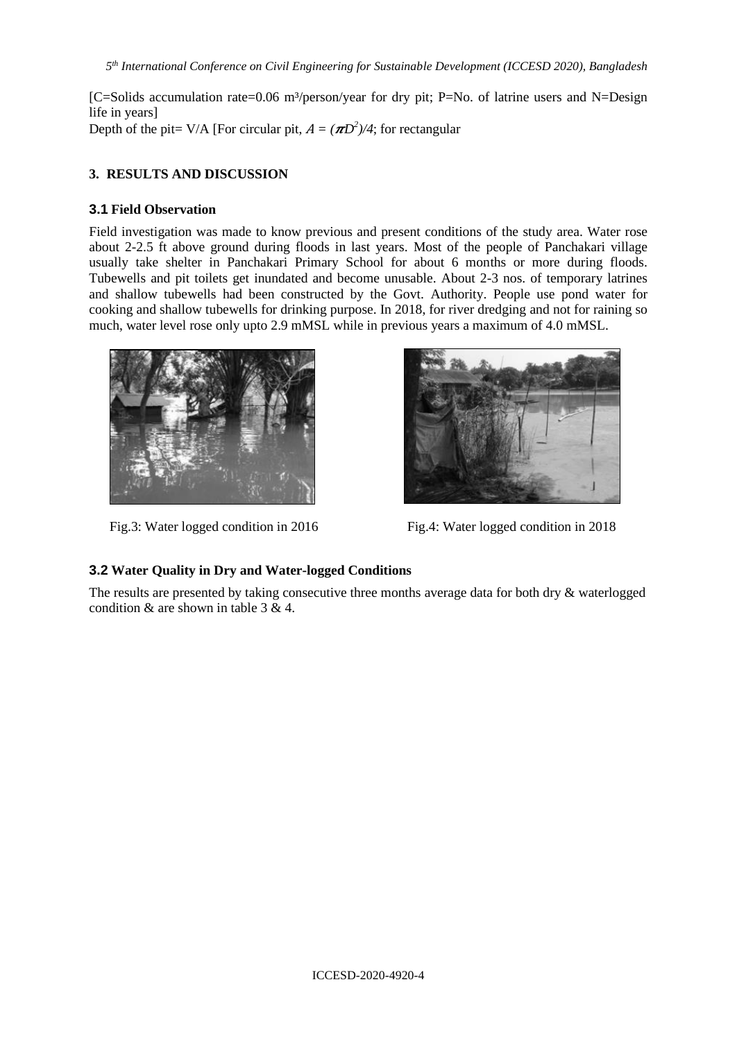[C=Solids accumulation rate=0.06 m<sup>3</sup>/person/year for dry pit; P=No. of latrine users and N=Design life in years] Depth of the pit= V/A [For circular pit,  $A = (\pi D^2)/4$ ; for rectangular

## **3. RESULTS AND DISCUSSION**

## **3.1 Field Observation**

Field investigation was made to know previous and present conditions of the study area. Water rose about 2-2.5 ft above ground during floods in last years. Most of the people of Panchakari village usually take shelter in Panchakari Primary School for about 6 months or more during floods. Tubewells and pit toilets get inundated and become unusable. About 2-3 nos. of temporary latrines and shallow tubewells had been constructed by the Govt. Authority. People use pond water for cooking and shallow tubewells for drinking purpose. In 2018, for river dredging and not for raining so much, water level rose only upto 2.9 mMSL while in previous years a maximum of 4.0 mMSL.



Fig.3: Water logged condition in 2016 Fig.4: Water logged condition in 2018



# **3.2 Water Quality in Dry and Water-logged Conditions**

The results are presented by taking consecutive three months average data for both dry & waterlogged condition & are shown in table 3 & 4.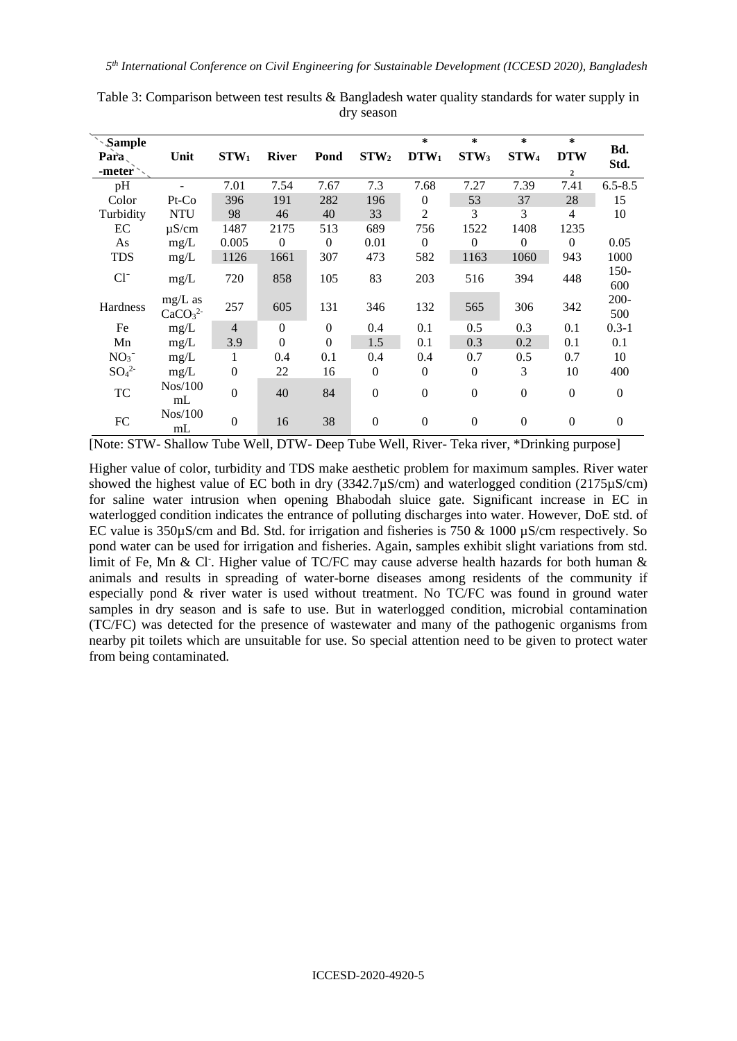| <i><b>Sample</b></i>         |                                |                  |              |              |                  | $\ast$         | $\ast$           | $\ast$           | $\star$          |                  |
|------------------------------|--------------------------------|------------------|--------------|--------------|------------------|----------------|------------------|------------------|------------------|------------------|
| $\mathbf{Para}$              | Unit                           | $STW_1$          | <b>River</b> | Pond         | STW <sub>2</sub> | $DTW_1$        | STW <sub>3</sub> | STW <sub>4</sub> | <b>DTW</b>       | Bd.              |
| -meter $\sim$                |                                |                  |              |              |                  |                |                  |                  | $\overline{2}$   | Std.             |
| pH                           |                                | 7.01             | 7.54         | 7.67         | 7.3              | 7.68           | 7.27             | 7.39             | 7.41             | $6.5 - 8.5$      |
| Color                        | $Pt$ - $Co$                    | 396              | 191          | 282          | 196              | $\Omega$       | 53               | 37               | 28               | 15               |
| Turbidity                    | <b>NTU</b>                     | 98               | 46           | 40           | 33               | $\overline{2}$ | 3                | 3                | $\overline{4}$   | 10               |
| EC                           | $\mu$ S/cm                     | 1487             | 2175         | 513          | 689              | 756            | 1522             | 1408             | 1235             |                  |
| As                           | mg/L                           | 0.005            | $\theta$     | $\mathbf{0}$ | 0.01             | $\Omega$       | $\Omega$         | $\Omega$         | $\Omega$         | 0.05             |
| <b>TDS</b>                   | mg/L                           | 1126             | 1661         | 307          | 473              | 582            | 1163             | 1060             | 943              | 1000             |
| $Cl^{-}$                     | mg/L                           | 720              | 858          | 105          | 83               | 203            | 516              | 394              | 448              | $150 -$          |
|                              |                                |                  |              |              |                  |                |                  |                  |                  | 600              |
| Hardness                     | $mg/L$ as                      | 257              | 605          | 131          | 346              | 132            | 565              | 306              | 342              | $200 -$          |
|                              | CaCO <sub>3</sub> <sup>2</sup> |                  |              |              |                  |                |                  |                  |                  | 500              |
| Fe                           | mg/L                           | $\overline{4}$   | $\Omega$     | $\mathbf{0}$ | 0.4              | 0.1            | 0.5              | 0.3              | 0.1              | $0.3 - 1$        |
| Mn                           | mg/L                           | 3.9              | $\mathbf{0}$ | $\mathbf{0}$ | 1.5              | 0.1            | 0.3              | 0.2              | 0.1              | 0.1              |
| NO <sub>3</sub>              | mg/L                           | 1                | 0.4          | 0.1          | 0.4              | 0.4            | 0.7              | 0.5              | 0.7              | 10               |
| SO <sub>4</sub> <sup>2</sup> | mg/L                           | $\overline{0}$   | 22           | 16           | $\overline{0}$   | $\mathbf{0}$   | $\boldsymbol{0}$ | 3                | 10               | 400              |
| TC                           | Nos/100                        | $\boldsymbol{0}$ | 40           | 84           | $\theta$         | $\Omega$       | $\boldsymbol{0}$ | $\Omega$         | $\boldsymbol{0}$ | $\mathbf{0}$     |
|                              | mL                             |                  |              |              |                  |                |                  |                  |                  |                  |
| FC                           | Nos/100                        | $\overline{0}$   | 16           | 38           | $\overline{0}$   | $\overline{0}$ | $\mathbf{0}$     | $\mathbf{0}$     | $\theta$         | $\boldsymbol{0}$ |
|                              | mL                             |                  |              |              |                  |                |                  |                  |                  |                  |

Table 3: Comparison between test results & Bangladesh water quality standards for water supply in dry season

[Note: STW- Shallow Tube Well, DTW- Deep Tube Well, River- Teka river, \*Drinking purpose]

Higher value of color, turbidity and TDS make aesthetic problem for maximum samples. River water showed the highest value of EC both in dry (3342.7µS/cm) and waterlogged condition (2175µS/cm) for saline water intrusion when opening Bhabodah sluice gate. Significant increase in EC in waterlogged condition indicates the entrance of polluting discharges into water. However, DoE std. of EC value is  $350\mu$ S/cm and Bd. Std. for irrigation and fisheries is 750 & 1000  $\mu$ S/cm respectively. So pond water can be used for irrigation and fisheries. Again, samples exhibit slight variations from std. limit of Fe, Mn & Cl<sup>-</sup>. Higher value of TC/FC may cause adverse health hazards for both human & animals and results in spreading of water-borne diseases among residents of the community if especially pond & river water is used without treatment. No TC/FC was found in ground water samples in dry season and is safe to use. But in waterlogged condition, microbial contamination (TC/FC) was detected for the presence of wastewater and many of the pathogenic organisms from nearby pit toilets which are unsuitable for use. So special attention need to be given to protect water from being contaminated.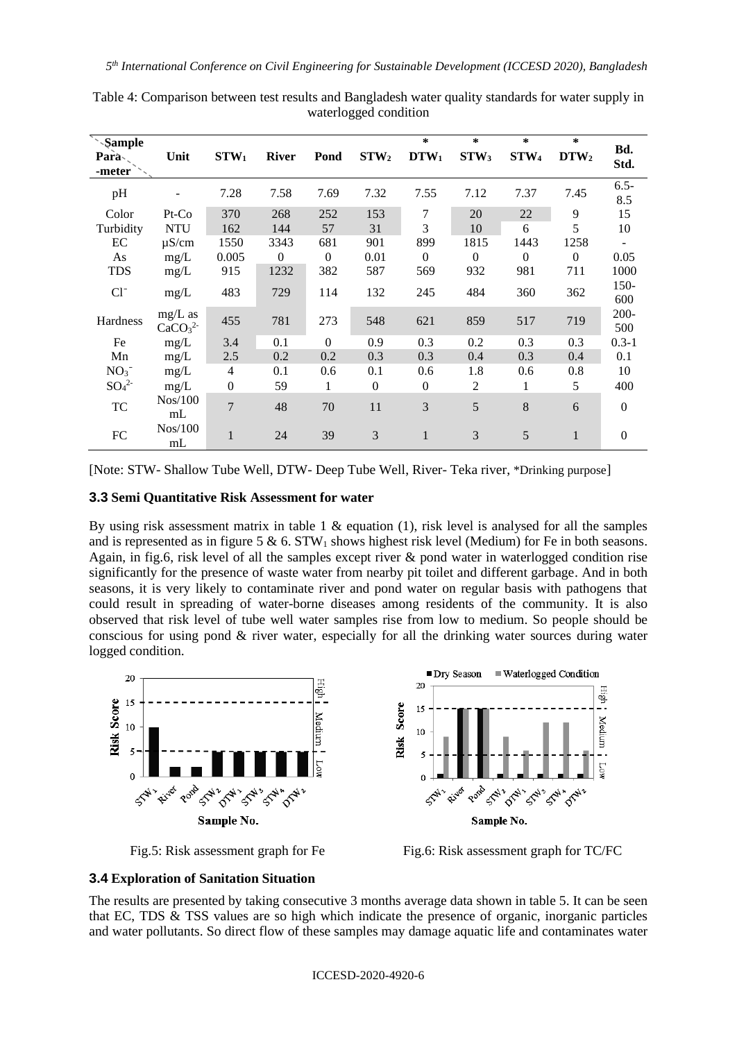| Sample<br>Parà<br>-meter     | Unit                                        | STW <sub>1</sub> | <b>River</b> | Pond             | STW <sub>2</sub> | $\ast$<br>$DTW_1$ | $\ast$<br>STW <sub>3</sub> | $\ast$<br>STW <sub>4</sub> | $\ast$<br>DTW <sub>2</sub> | Bd.<br>Std.      |
|------------------------------|---------------------------------------------|------------------|--------------|------------------|------------------|-------------------|----------------------------|----------------------------|----------------------------|------------------|
| pH                           |                                             | 7.28             | 7.58         | 7.69             | 7.32             | 7.55              | 7.12                       | 7.37                       | 7.45                       | $6.5 -$<br>8.5   |
| Color                        | $Pt$ - $Co$                                 | 370              | 268          | 252              | 153              | 7                 | 20                         | 22                         | 9                          | 15               |
| Turbidity                    | <b>NTU</b>                                  | 162              | 144          | 57               | 31               | 3                 | 10                         | 6                          | 5                          | 10               |
| EC                           | $\mu$ S/cm                                  | 1550             | 3343         | 681              | 901              | 899               | 1815                       | 1443                       | 1258                       | ÷                |
| As                           | mg/L                                        | 0.005            | $\Omega$     | $\boldsymbol{0}$ | 0.01             | $\boldsymbol{0}$  | $\Omega$                   | $\theta$                   | $\theta$                   | 0.05             |
| <b>TDS</b>                   | mg/L                                        | 915              | 1232         | 382              | 587              | 569               | 932                        | 981                        | 711                        | 1000             |
| $Cl^{-}$                     | mg/L                                        | 483              | 729          | 114              | 132              | 245               | 484                        | 360                        | 362                        | $150 -$<br>600   |
| Hardness                     | $mg/L$ as<br>CaCO <sub>3</sub> <sup>2</sup> | 455              | 781          | 273              | 548              | 621               | 859                        | 517                        | 719                        | 200-<br>500      |
| Fe                           | mg/L                                        | 3.4              | 0.1          | $\Omega$         | 0.9              | 0.3               | 0.2                        | 0.3                        | 0.3                        | $0.3 - 1$        |
| Mn                           | mg/L                                        | 2.5              | 0.2          | 0.2              | 0.3              | 0.3               | 0.4                        | 0.3                        | 0.4                        | 0.1              |
| $NO3$ <sup>-</sup>           | mg/L                                        | $\overline{4}$   | 0.1          | 0.6              | 0.1              | 0.6               | 1.8                        | 0.6                        | 0.8                        | 10               |
| SO <sub>4</sub> <sup>2</sup> | mg/L                                        | $\mathbf{0}$     | 59           | 1                | $\mathbf{0}$     | $\overline{0}$    | 2                          | 1                          | 5                          | 400              |
| <b>TC</b>                    | Nos/100<br>mL                               | $\overline{7}$   | 48           | 70               | 11               | 3                 | 5                          | 8                          | 6                          | $\Omega$         |
| ${\rm FC}$                   | $Nos/100$<br>mL                             | $\mathbf{1}$     | 24           | 39               | 3                | $\mathbf{1}$      | 3                          | 5                          | $\mathbf{1}$               | $\boldsymbol{0}$ |

Table 4: Comparison between test results and Bangladesh water quality standards for water supply in waterlogged condition

[Note: STW- Shallow Tube Well, DTW- Deep Tube Well, River- Teka river, \*Drinking purpose]

### **3.3 Semi Quantitative Risk Assessment for water**

By using risk assessment matrix in table  $1 \&$  equation (1), risk level is analysed for all the samples and is represented as in figure 5  $\&$  6. STW<sub>1</sub> shows highest risk level (Medium) for Fe in both seasons. Again, in fig.6, risk level of all the samples except river & pond water in waterlogged condition rise significantly for the presence of waste water from nearby pit toilet and different garbage. And in both seasons, it is very likely to contaminate river and pond water on regular basis with pathogens that could result in spreading of water-borne diseases among residents of the community. It is also observed that risk level of tube well water samples rise from low to medium. So people should be conscious for using pond  $\&$  river water, especially for all the drinking water sources during water logged condition.





Fig.5: Risk assessment graph for Fe Fig.6: Risk assessment graph for TC/FC

### **3.4 Exploration of Sanitation Situation**

The results are presented by taking consecutive 3 months average data shown in table 5. It can be seen that EC, TDS & TSS values are so high which indicate the presence of organic, inorganic particles and water pollutants. So direct flow of these samples may damage aquatic life and contaminates water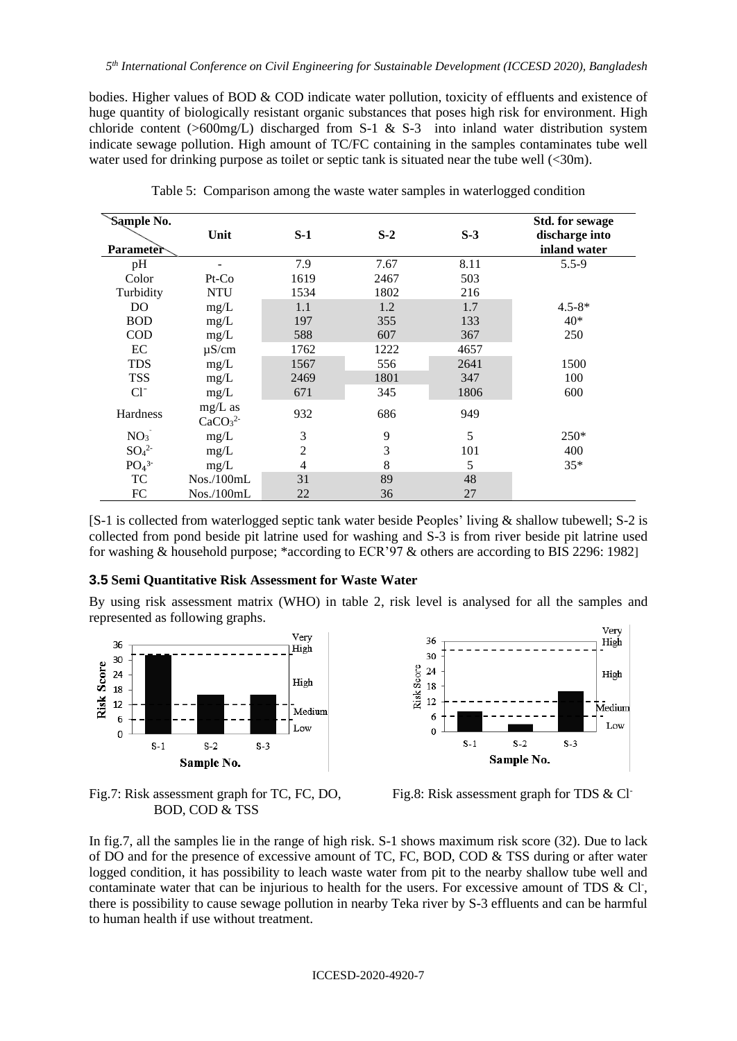bodies. Higher values of BOD & COD indicate water pollution, toxicity of effluents and existence of huge quantity of biologically resistant organic substances that poses high risk for environment. High chloride content ( $>600$ mg/L) discharged from S-1 & S-3 into inland water distribution system indicate sewage pollution. High amount of TC/FC containing in the samples contaminates tube well water used for drinking purpose as toilet or septic tank is situated near the tube well (<30m).

| Sample No.<br><b>Parameter</b> | Unit                                        | $S-1$          | $S-2$ | $S-3$ | <b>Std.</b> for sewage<br>discharge into<br>inland water |
|--------------------------------|---------------------------------------------|----------------|-------|-------|----------------------------------------------------------|
| pH                             |                                             | 7.9            | 7.67  | 8.11  | $5.5 - 9$                                                |
| Color                          | $Pt$ - $Co$                                 | 1619           | 2467  | 503   |                                                          |
| Turbidity                      | <b>NTU</b>                                  | 1534           | 1802  | 216   |                                                          |
| D <sub>O</sub>                 | mg/L                                        | 1.1            | 1.2   | 1.7   | $4.5 - 8*$                                               |
| <b>BOD</b>                     | mg/L                                        | 197            | 355   | 133   | $40*$                                                    |
| <b>COD</b>                     | mg/L                                        | 588            | 607   | 367   | 250                                                      |
| EC                             | $\mu$ S/cm                                  | 1762           | 1222  | 4657  |                                                          |
| <b>TDS</b>                     | mg/L                                        | 1567           | 556   | 2641  | 1500                                                     |
| <b>TSS</b>                     | mg/L                                        | 2469           | 1801  | 347   | 100                                                      |
| $Cl^{-}$                       | mg/L                                        | 671            | 345   | 1806  | 600                                                      |
| Hardness                       | $mg/L$ as<br>CaCO <sub>3</sub> <sup>2</sup> | 932            | 686   | 949   |                                                          |
| NO <sub>3</sub>                | mg/L                                        | 3              | 9     | 5     | 250*                                                     |
| SO <sub>4</sub> <sup>2</sup>   | mg/L                                        | $\overline{c}$ | 3     | 101   | 400                                                      |
| PO <sub>4</sub> <sup>3</sup>   | mg/L                                        | $\overline{4}$ | 8     | 5     | $35*$                                                    |
| TC                             | Nos./100mL                                  | 31             | 89    | 48    |                                                          |
| FC                             | Nos./100mL                                  | 22             | 36    | 27    |                                                          |

Table 5: Comparison among the waste water samples in waterlogged condition

[S-1 is collected from waterlogged septic tank water beside Peoples' living & shallow tubewell; S-2 is collected from pond beside pit latrine used for washing and S-3 is from river beside pit latrine used for washing & household purpose; \*according to ECR'97 & others are according to BIS 2296: 1982]

#### **3.5 Semi Quantitative Risk Assessment for Waste Water**

By using risk assessment matrix (WHO) in table 2, risk level is analysed for all the samples and represented as following graphs.





Fig.7: Risk assessment graph for TC, FC, DO, Fig.8: Risk assessment graph for TDS & Cl<sup>-</sup> BOD, COD & TSS

In fig.7, all the samples lie in the range of high risk. S-1 shows maximum risk score (32). Due to lack of DO and for the presence of excessive amount of TC, FC, BOD, COD & TSS during or after water logged condition, it has possibility to leach waste water from pit to the nearby shallow tube well and contaminate water that can be injurious to health for the users. For excessive amount of TDS  $\&$  Cl<sup>-</sup>, there is possibility to cause sewage pollution in nearby Teka river by S-3 effluents and can be harmful to human health if use without treatment.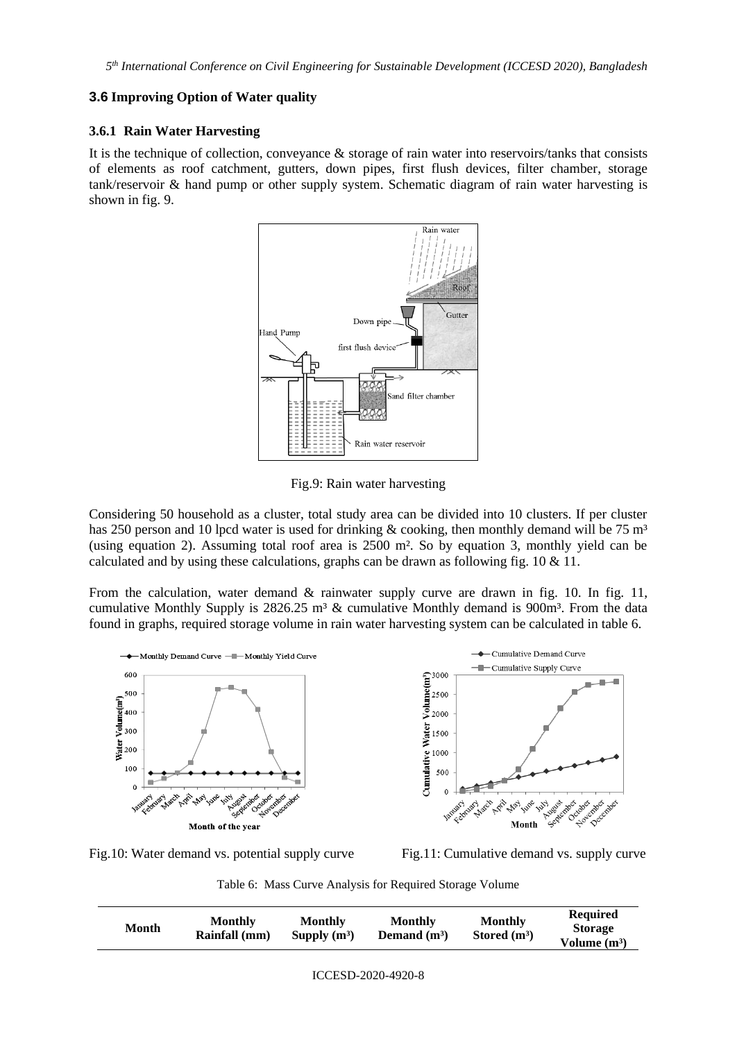## **3.6 Improving Option of Water quality**

### **3.6.1 Rain Water Harvesting**

It is the technique of collection, conveyance & storage of rain water into reservoirs/tanks that consists of elements as roof catchment, gutters, down pipes, first flush devices, filter chamber, storage tank/reservoir & hand pump or other supply system. Schematic diagram of rain water harvesting is shown in fig. 9.



Fig.9: Rain water harvesting

Considering 50 household as a cluster, total study area can be divided into 10 clusters. If per cluster has 250 person and 10 lpcd water is used for drinking  $\&$  cooking, then monthly demand will be 75 m<sup>3</sup> (using equation 2). Assuming total roof area is 2500 m². So by equation 3, monthly yield can be calculated and by using these calculations, graphs can be drawn as following fig. 10 & 11.

From the calculation, water demand & rainwater supply curve are drawn in fig. 10. In fig. 11, cumulative Monthly Supply is  $2826.25$  m<sup>3</sup> & cumulative Monthly demand is  $900m^3$ . From the data found in graphs, required storage volume in rain water harvesting system can be calculated in table 6.



Fig.10: Water demand vs. potential supply curve Fig.11: Cumulative demand vs. supply curve

Table 6: Mass Curve Analysis for Required Storage Volume

| Month | <b>Monthly</b><br>Rainfall (mm) | <b>Monthly</b><br>Supply $(m^3)$ | Monthly<br>Demand $(m^3)$ | <b>Monthly</b><br>Stored $(m^3)$ | <b>Required</b><br><b>Storage</b><br>Volume $(m^3)$ |
|-------|---------------------------------|----------------------------------|---------------------------|----------------------------------|-----------------------------------------------------|
|-------|---------------------------------|----------------------------------|---------------------------|----------------------------------|-----------------------------------------------------|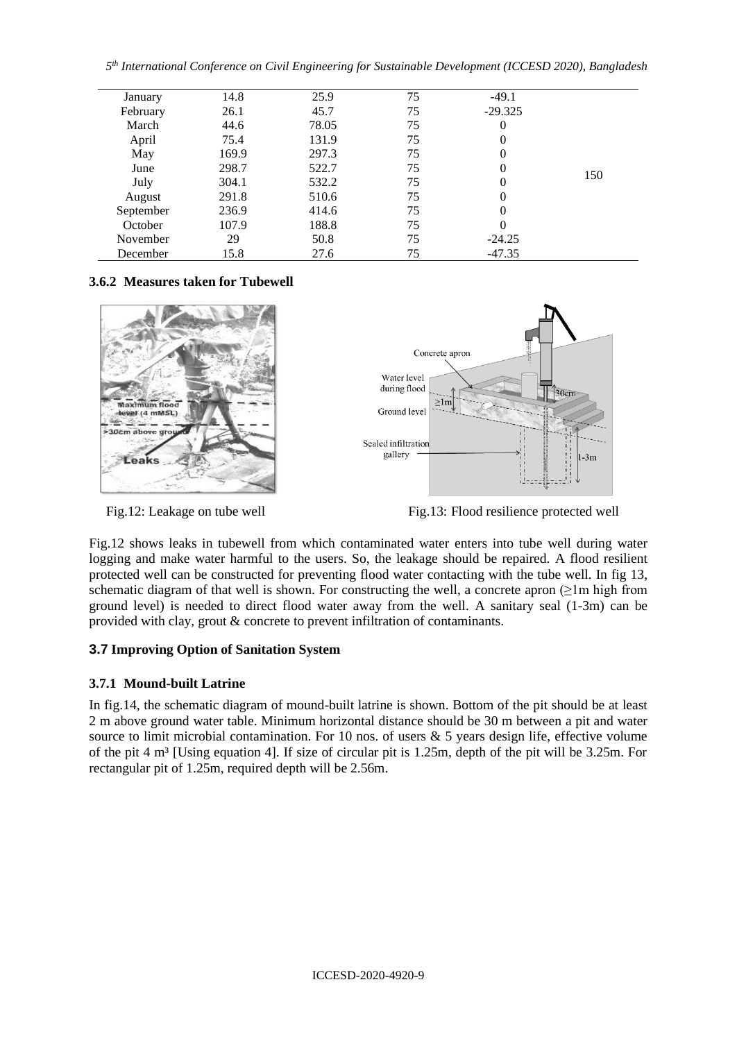*5 th International Conference on Civil Engineering for Sustainable Development (ICCESD 2020), Bangladesh*

| January   | 14.8  | 25.9  | 75 | $-49.1$   |     |
|-----------|-------|-------|----|-----------|-----|
| February  | 26.1  | 45.7  | 75 | $-29.325$ |     |
| March     | 44.6  | 78.05 | 75 | 0         |     |
| April     | 75.4  | 131.9 | 75 | 0         |     |
| May       | 169.9 | 297.3 | 75 | 0         |     |
| June      | 298.7 | 522.7 | 75 | 0         |     |
| July      | 304.1 | 532.2 | 75 |           | 150 |
| August    | 291.8 | 510.6 | 75 | $\Omega$  |     |
| September | 236.9 | 414.6 | 75 | 0         |     |
| October   | 107.9 | 188.8 | 75 | $\Omega$  |     |
| November  | 29    | 50.8  | 75 | $-24.25$  |     |
| December  | 15.8  | 27.6  | 75 | $-47.35$  |     |

# **3.6.2 Measures taken for Tubewell**





Fig.12: Leakage on tube well Fig.13: Flood resilience protected well

Fig.12 shows leaks in tubewell from which contaminated water enters into tube well during water logging and make water harmful to the users. So, the leakage should be repaired. A flood resilient protected well can be constructed for preventing flood water contacting with the tube well. In fig 13, schematic diagram of that well is shown. For constructing the well, a concrete apron  $(21m \text{ high from})$ ground level) is needed to direct flood water away from the well. A sanitary seal (1-3m) can be provided with clay, grout & concrete to prevent infiltration of contaminants.

# **3.7 Improving Option of Sanitation System**

# **3.7.1 Mound-built Latrine**

In fig.14, the schematic diagram of mound-built latrine is shown. Bottom of the pit should be at least 2 m above ground water table. Minimum horizontal distance should be 30 m between a pit and water source to limit microbial contamination. For 10 nos. of users & 5 years design life, effective volume of the pit  $4 \text{ m}^3$  [Using equation 4]. If size of circular pit is 1.25m, depth of the pit will be 3.25m. For rectangular pit of 1.25m, required depth will be 2.56m.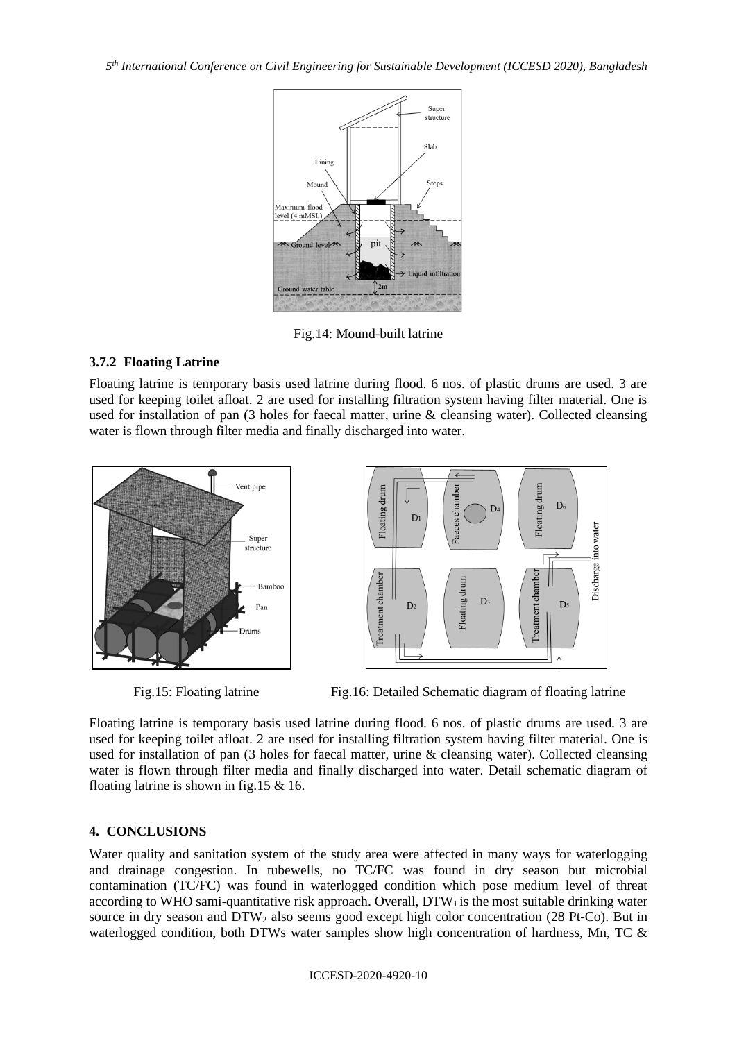*5 th International Conference on Civil Engineering for Sustainable Development (ICCESD 2020), Bangladesh*



Fig.14: Mound-built latrine

## **3.7.2 Floating Latrine**

Floating latrine is temporary basis used latrine during flood. 6 nos. of plastic drums are used. 3 are used for keeping toilet afloat. 2 are used for installing filtration system having filter material. One is used for installation of pan (3 holes for faecal matter, urine & cleansing water). Collected cleansing water is flown through filter media and finally discharged into water.



Fig.15: Floating latrine Fig.16: Detailed Schematic diagram of floating latrine

Floating latrine is temporary basis used latrine during flood. 6 nos. of plastic drums are used. 3 are used for keeping toilet afloat. 2 are used for installing filtration system having filter material. One is used for installation of pan (3 holes for faecal matter, urine & cleansing water). Collected cleansing water is flown through filter media and finally discharged into water. Detail schematic diagram of floating latrine is shown in fig.15 & 16.

### **4. CONCLUSIONS**

Water quality and sanitation system of the study area were affected in many ways for waterlogging and drainage congestion. In tubewells, no TC/FC was found in dry season but microbial contamination (TC/FC) was found in waterlogged condition which pose medium level of threat according to WHO sami-quantitative risk approach. Overall,  $DTW<sub>1</sub>$  is the most suitable drinking water source in dry season and DTW<sub>2</sub> also seems good except high color concentration (28 Pt-Co). But in waterlogged condition, both DTWs water samples show high concentration of hardness, Mn, TC &